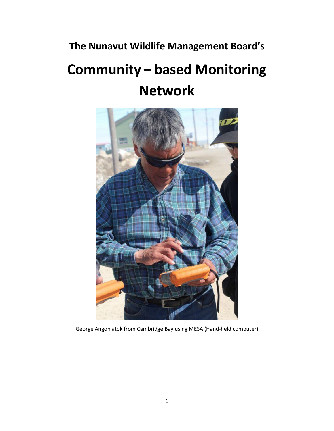# **The Nunavut Wildlife Management Board's**

# **Community – based Monitoring Network**



George Angohiatok from Cambridge Bay using MESA (Hand-held computer)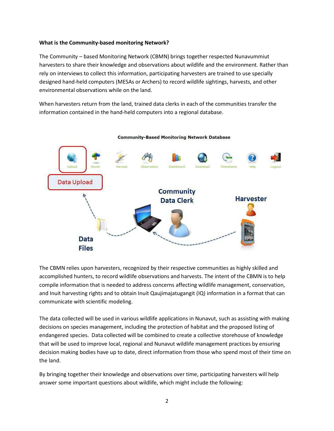#### **What is the Community-based monitoring Network?**

The Community – based Monitoring Network (CBMN) brings together respected Nunavummiut harvesters to share their knowledge and observations about wildlife and the environment. Rather than rely on interviews to collect this information, participating harvesters are trained to use specially designed hand-held computers (MESAs or Archers) to record wildlife sightings, harvests, and other environmental observations while on the land.

When harvesters return from the land, trained data clerks in each of the communities transfer the information contained in the hand-held computers into a regional database.



The CBMN relies upon harvesters, recognized by their respective communities as highly skilled and accomplished hunters, to record wildlife observations and harvests. The intent of the CBMN is to help compile information that is needed to address concerns affecting wildlife management, conservation, and Inuit harvesting rights and to obtain Inuit Qaujimajatugangit (IQ) information in a format that can communicate with scientific modeling.

The data collected will be used in various wildlife applications in Nunavut, such as assisting with making decisions on species management, including the protection of habitat and the proposed listing of endangered species. Data collected will be combined to create a collective storehouse of knowledge that will be used to improve local, regional and Nunavut wildlife management practices by ensuring decision making bodies have up to date, direct information from those who spend most of their time on the land.

By bringing together their knowledge and observations over time, participating harvesters will help answer some important questions about wildlife, which might include the following: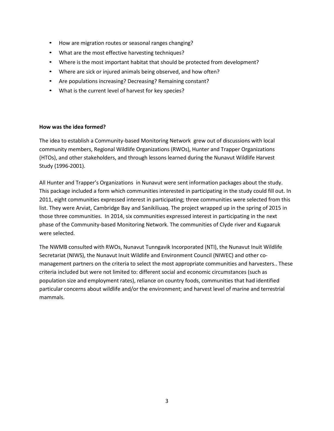- How are migration routes or seasonal ranges changing?
- What are the most effective harvesting techniques?
- Where is the most important habitat that should be protected from development?
- Where are sick or injured animals being observed, and how often?
- Are populations increasing? Decreasing? Remaining constant?
- What is the current level of harvest for key species?

#### **How was the idea formed?**

The idea to establish a Community-based Monitoring Network grew out of discussions with local community members, Regional Wildlife Organizations (RWOs), Hunter and Trapper Organizations (HTOs), and other stakeholders, and through lessons learned during the Nunavut Wildlife Harvest Study (1996-2001).

All Hunter and Trapper's Organizations in Nunavut were sent information packages about the study. This package included a form which communities interested in participating in the study could fill out. In 2011, eight communities expressed interest in participating; three communities were selected from this list. They were Arviat, Cambridge Bay and Sanikiliuaq. The project wrapped up in the spring of 2015 in those three communities. In 2014, six communities expressed interest in participating in the next phase of the Community-based Monitoring Network. The communities of Clyde river and Kugaaruk were selected.

The NWMB consulted with RWOs, Nunavut Tunngavik Incorporated (NTI), the Nunavut Inuit Wildlife Secretariat (NIWS), the Nunavut Inuit Wildlife and Environment Council (NIWEC) and other comanagement partners on the criteria to select the most appropriate communities and harvesters.. These criteria included but were not limited to: different social and economic circumstances (such as population size and employment rates), reliance on country foods, communities that had identified particular concerns about wildlife and/or the environment; and harvest level of marine and terrestrial mammals.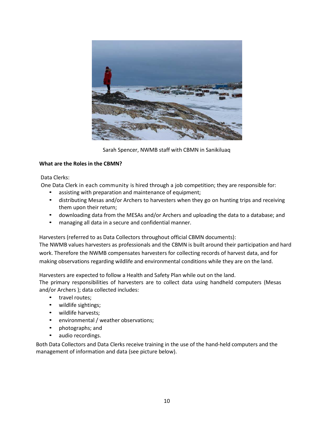

Sarah Spencer, NWMB staff with CBMN in Sanikiluaq

## **What are the Roles in the CBMN?**

#### Data Clerks:

One Data Clerk in each community is hired through a job competition; they are responsible for:

- assisting with preparation and maintenance of equipment;
- distributing Mesas and/or Archers to harvesters when they go on hunting trips and receiving them upon their return;
- downloading data from the MESAs and/or Archers and uploading the data to a database; and
- managing all data in a secure and confidential manner.

Harvesters (referred to as Data Collectors throughout official CBMN documents):

The NWMB values harvesters as professionals and the CBMN is built around their participation and hard work. Therefore the NWMB compensates harvesters for collecting records of harvest data, and for making observations regarding wildlife and environmental conditions while they are on the land.

Harvesters are expected to follow a Health and Safety Plan while out on the land.

The primary responsibilities of harvesters are to collect data using handheld computers (Mesas and/or Archers ); data collected includes:

- travel routes;
- wildlife sightings;
- wildlife harvests;
- environmental / weather observations;
- photographs; and
- audio recordings.

Both Data Collectors and Data Clerks receive training in the use of the hand-held computers and the management of information and data (see picture below).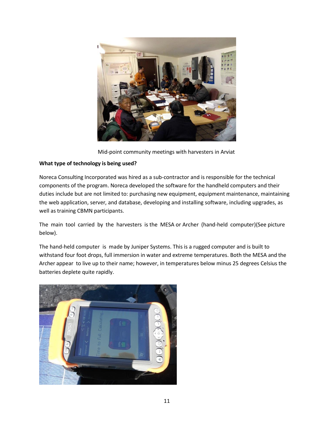

Mid-point community meetings with harvesters in Arviat

# **What type of technology is being used?**

Noreca Consulting Incorporated was hired as a sub-contractor and is responsible for the technical components of the program. Noreca developed the software for the handheld computers and their duties include but are not limited to: purchasing new equipment, equipment maintenance, maintaining the web application, server, and database, developing and installing software, including upgrades, as well as training CBMN participants.

The main tool carried by the harvesters is the MESA or Archer (hand-held computer)(See picture below).

The hand-held computer is made by Juniper Systems. This is a rugged computer and is built to withstand four foot drops, full immersion in water and extreme temperatures. Both the MESA and the Archer appear to live up to their name; however, in temperatures below minus 25 degrees Celsius the batteries deplete quite rapidly.

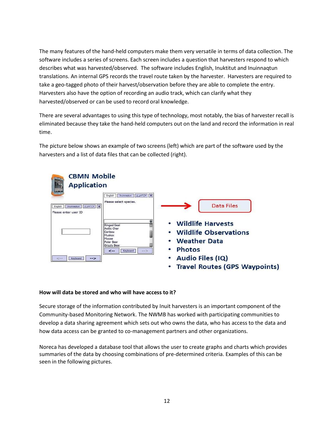The many features of the hand-held computers make them very versatile in terms of data collection. The software includes a series of screens. Each screen includes a question that harvesters respond to which describes what was harvested/observed. The software includes English, Inuktitut and Inuinnaqtun translations. An internal GPS records the travel route taken by the harvester. Harvesters are required to take a geo-tagged photo of their harvest/observation before they are able to complete the entry. Harvesters also have the option of recording an audio track, which can clarify what they harvested/observed or can be used to record oral knowledge.

There are several advantages to using this type of technology, most notably, the bias of harvester recall is eliminated because they take the hand-held computers out on the land and record the information in real time.

The picture below shows an example of two screens (left) which are part of the software used by the harvesters and a list of data files that can be collected (right).



## **How will data be stored and who will have access to it?**

Secure storage of the information contributed by Inuit harvesters is an important component of the Community-based Monitoring Network. The NWMB has worked with participating communities to develop a data sharing agreement which sets out who owns the data, who has access to the data and how data access can be granted to co-management partners and other organizations.

Noreca has developed a database tool that allows the user to create graphs and charts which provides summaries of the data by choosing combinations of pre-determined criteria. Examples of this can be seen in the following pictures.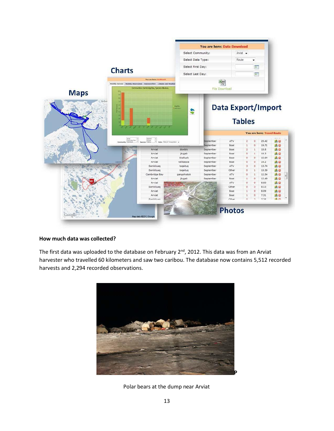

## **How much data was collected?**

The first data was uploaded to the database on February 2<sup>nd</sup>, 2012. This data was from an Arviat harvester who travelled 60 kilometers and saw two caribou. The database now contains 5,512 recorded harvests and 2,294 recorded observations.



Polar bears at the dump near Arviat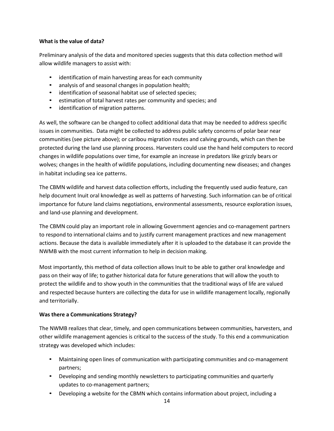# **What is the value of data?**

Preliminary analysis of the data and monitored species suggests that this data collection method will allow wildlife managers to assist with:

- identification of main harvesting areas for each community
- analysis of and seasonal changes in population health;
- identification of seasonal habitat use of selected species;
- estimation of total harvest rates per community and species; and
- identification of migration patterns.

As well, the software can be changed to collect additional data that may be needed to address specific issues in communities. Data might be collected to address public safety concerns of polar bear near communities (see picture above); or caribou migration routes and calving grounds, which can then be protected during the land use planning process. Harvesters could use the hand held computers to record changes in wildlife populations over time, for example an increase in predators like grizzly bears or wolves; changes in the health of wildlife populations, including documenting new diseases; and changes in habitat including sea ice patterns.

The CBMN wildlife and harvest data collection efforts, including the frequently used audio feature, can help document Inuit oral knowledge as well as patterns of harvesting. Such information can be of critical importance for future land claims negotiations, environmental assessments, resource exploration issues, and land-use planning and development.

The CBMN could play an important role in allowing Government agencies and co-management partners to respond to international claims and to justify current management practices and new management actions. Because the data is available immediately after it is uploaded to the database it can provide the NWMB with the most current information to help in decision making.

Most importantly, this method of data collection allows Inuit to be able to gather oral knowledge and pass on their way of life; to gather historical data for future generations that will allow the youth to protect the wildlife and to show youth in the communities that the traditional ways of life are valued and respected because hunters are collecting the data for use in wildlife management locally, regionally and territorially.

# **Was there a Communications Strategy?**

The NWMB realizes that clear, timely, and open communications between communities, harvesters, and other wildlife management agencies is critical to the success of the study. To this end a communication strategy was developed which includes:

- Maintaining open lines of communication with participating communities and co-management partners;
- Developing and sending monthly newsletters to participating communities and quarterly updates to co-management partners;
- Developing a website for the CBMN which contains information about project, including a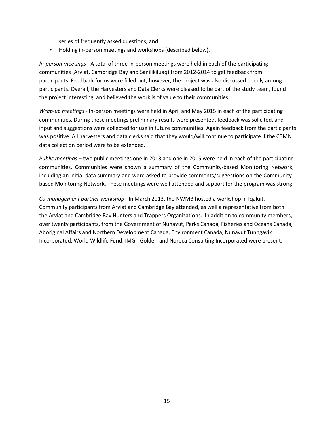series of frequently asked questions; and

• Holding in-person meetings and workshops (described below).

*In-person meetings* - A total of three in-person meetings were held in each of the participating communities (Arviat, Cambridge Bay and Sanilikiluaq) from 2012-2014 to get feedback from participants. Feedback forms were filled out; however, the project was also discussed openly among participants. Overall, the Harvesters and Data Clerks were pleased to be part of the study team, found the project interesting, and believed the work is of value to their communities.

*Wrap-up meetings* - In-person meetings were held in April and May 2015 in each of the participating communities. During these meetings preliminary results were presented, feedback was solicited, and input and suggestions were collected for use in future communities. Again feedback from the participants was positive. All harvesters and data clerks said that they would/will continue to participate if the CBMN data collection period were to be extended.

*Public meetings* – two public meetings one in 2013 and one in 2015 were held in each of the participating communities. Communities were shown a summary of the Community-based Monitoring Network, including an initial data summary and were asked to provide comments/suggestions on the Communitybased Monitoring Network. These meetings were well attended and support for the program was strong.

*Co-management partner workshop* - In March 2013, the NWMB hosted a workshop in Iqaluit. Community participants from Arviat and Cambridge Bay attended, as well a representative from both the Arviat and Cambridge Bay Hunters and Trappers Organizations. In addition to community members, over twenty participants, from the Government of Nunavut, Parks Canada, Fisheries and Oceans Canada, Aboriginal Affairs and Northern Development Canada, Environment Canada, Nunavut Tunngavik Incorporated, World Wildlife Fund, IMG - Golder, and Noreca Consulting Incorporated were present.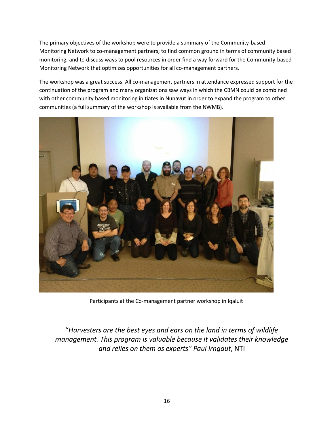The primary objectives of the workshop were to provide a summary of the Community-based Monitoring Network to co-management partners; to find common ground in terms of community based monitoring; and to discuss ways to pool resources in order find a way forward for the Community-based Monitoring Network that optimizes opportunities for all co-management partners.

The workshop was a great success. All co-management partners in attendance expressed support for the continuation of the program and many organizations saw ways in which the CBMN could be combined with other community based monitoring initiates in Nunavut in order to expand the program to other communities (a full summary of the workshop is available from the NWMB).



Participants at the Co-management partner workshop in Iqaluit

"*Harvesters are the best eyes and ears on the land in terms of wildlife management. This program is valuable because it validates their knowledge and relies on them as experts" Paul Irngaut*, NTI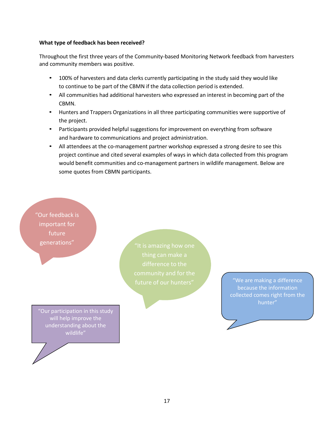#### **What type of feedback has been received?**

Throughout the first three years of the Community-based Monitoring Network feedback from harvesters and community members was positive.

- 100% of harvesters and data clerks currently participating in the study said they would like to continue to be part of the CBMN if the data collection period is extended.
- All communities had additional harvesters who expressed an interest in becoming part of the CBMN.
- Hunters and Trappers Organizations in all three participating communities were supportive of the project.
- Participants provided helpful suggestions for improvement on everything from software and hardware to communications and project administration.
- All attendees at the co-management partner workshop expressed a strong desire to see this project continue and cited several examples of ways in which data collected from this program would benefit communities and co-management partners in wildlife management. Below are some quotes from CBMN participants.

"Our feedback is important for future generations"

"Our participation in this study will help improve the understanding about the wildlife"

"We are making a difference because the information collected comes right from the hunter"